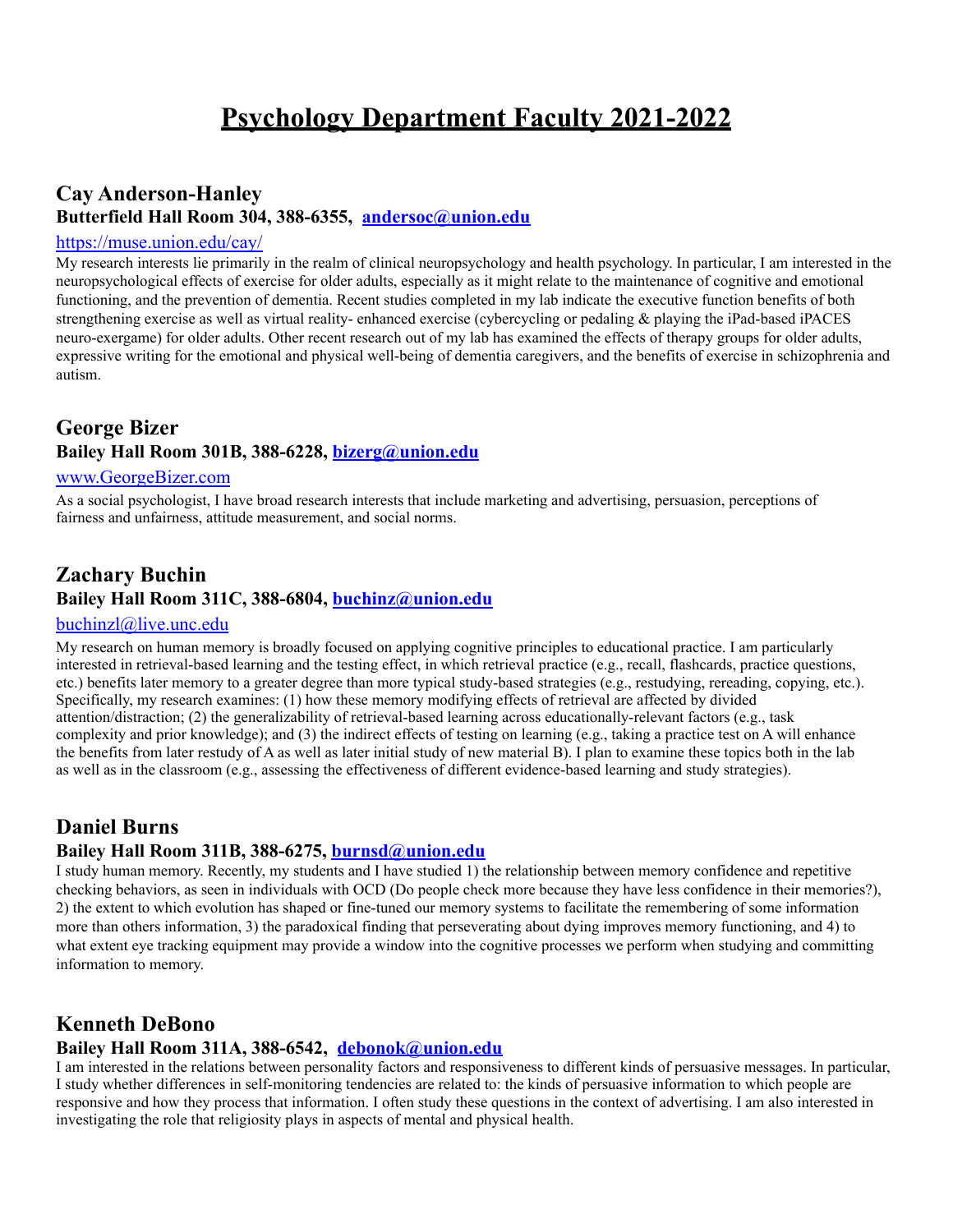# **Cay Anderson-Hanley Butterfield Hall Room 304, 388-63[55,](mailto:andersoc@union.edu) [andersoc@union.edu](mailto:andersoc@union.edu)**

#### <https://muse.union.edu/cay/>

My research interests lie primarily in the realm of clinical neuropsychology and health psychology. In particular, I am interested in the neuropsychological effects of exercise for older adults, especially as it might relate to the maintenance of cognitive and emotional functioning, and the prevention of dementia. Recent studies completed in my lab indicate the executive function benefits of both strengthening exercise as well as virtual reality- enhanced exercise (cybercycling or pedaling & playing the iPad-based iPACES neuro-exergame) for older adults. Other recent research out of my lab has examined the effects of therapy groups for older adults, expressive writing for the emotional and physical well-being of dementia caregivers, and the benefits of exercise in schizophrenia and autism.

## **George Bizer Bailey Hall Room 301B, 388-6228, [bizerg@union.edu](mailto:bizerg@union.edu)**

#### [www.GeorgeBizer.com](http://www.georgebizer.com/)

As a social psychologist, I have broad research interests that include marketing and advertising, persuasion, perceptions of fairness and unfairness, attitude measurement, and social norms.

# **Zachary Buchin Bailey Hall Room 311C, 388-6804, [buchinz@union.edu](mailto:buchinz@union.edu)**

#### [buchinzl@live.unc.edu](mailto:buchinzl@live.unc.edu)

My research on human memory is broadly focused on applying cognitive principles to educational practice. I am particularly interested in retrieval-based learning and the testing effect, in which retrieval practice (e.g., recall, flashcards, practice questions, etc.) benefits later memory to a greater degree than more typical study-based strategies (e.g., restudying, rereading, copying, etc.). Specifically, my research examines: (1) how these memory modifying effects of retrieval are affected by divided attention/distraction; (2) the generalizability of retrieval-based learning across educationally-relevant factors (e.g., task complexity and prior knowledge); and (3) the indirect effects of testing on learning (e.g., taking a practice test on A will enhance the benefits from later restudy of A as well as later initial study of new material B). I plan to examine these topics both in the lab as well as in the classroom (e.g., assessing the effectiveness of different evidence-based learning and study strategies).

#### **Daniel Burns**

#### **Bailey Hall Room 311B, 388-6275, [burnsd@union.edu](mailto:burnsd@union.edu)**

I study human memory. Recently, my students and I have studied 1) the relationship between memory confidence and repetitive checking behaviors, as seen in individuals with OCD (Do people check more because they have less confidence in their memories?), 2) the extent to which evolution has shaped or fine-tuned our memory systems to facilitate the remembering of some information more than others information, 3) the paradoxical finding that perseverating about dying improves memory functioning, and 4) to what extent eye tracking equipment may provide a window into the cognitive processes we perform when studying and committing information to memory.

# **Kenneth DeBono**

## **Bailey Hall Room 311A, 388-[6542,](mailto:debonok@union.edu) [debonok@union.edu](mailto:debonok@union.edu)**

I am interested in the relations between personality factors and responsiveness to different kinds of persuasive messages. In particular, I study whether differences in self-monitoring tendencies are related to: the kinds of persuasive information to which people are responsive and how they process that information. I often study these questions in the context of advertising. I am also interested in investigating the role that religiosity plays in aspects of mental and physical health.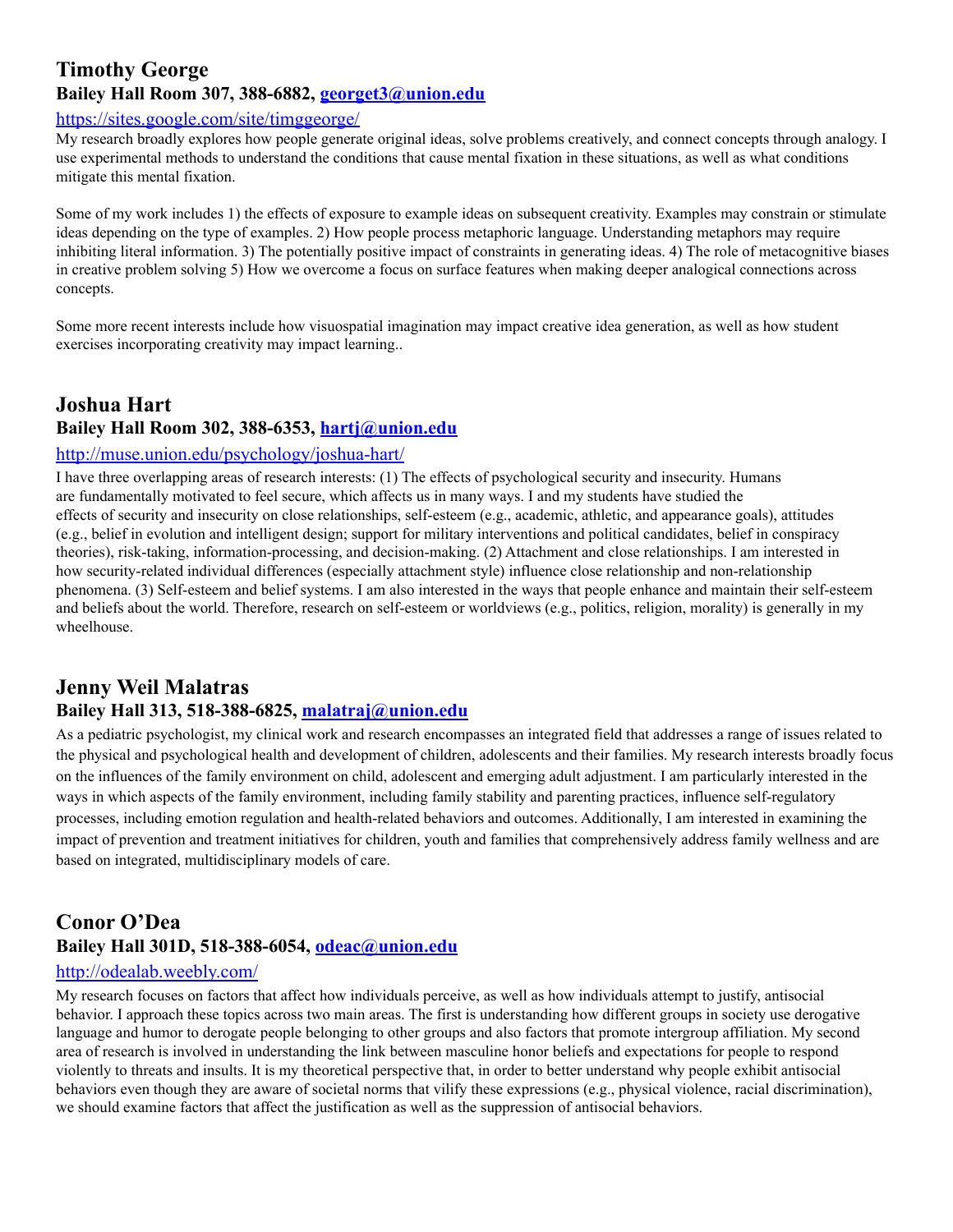### **Timothy George Bailey Hall Room 307, 388-6882, [georget3@union.edu](mailto:georget3@union.edu)**

#### https://sites.google.com/site/timggeorge/

My research broadly explores how people generate original ideas, solve problems creatively, and connect concepts through analogy. I use experimental methods to understand the conditions that cause mental fixation in these situations, as well as what conditions mitigate this mental fixation.

Some of my work includes 1) the effects of exposure to example ideas on subsequent creativity. Examples may constrain or stimulate ideas depending on the type of examples. 2) How people process metaphoric language. Understanding metaphors may require inhibiting literal information. 3) The potentially positive impact of constraints in generating ideas. 4) The role of metacognitive biases in creative problem solving 5) How we overcome a focus on surface features when making deeper analogical connections across concepts.

Some more recent interests include how visuospatial imagination may impact creative idea generation, as well as how student exercises incorporating creativity may impact learning..

# **Joshua Hart Bailey Hall Room 302, 388-6353, [hartj@union.edu](mailto:hartj@union.edu)**

#### <http://muse.union.edu/psychology/joshua-hart/>

I have three overlapping areas of research interests: (1) The effects of psychological security and insecurity. Humans are fundamentally motivated to feel secure, which affects us in many ways. I and my students have studied the effects of security and insecurity on close relationships, self-esteem (e.g., academic, athletic, and appearance goals), attitudes (e.g., belief in evolution and intelligent design; support for military interventions and political candidates, belief in conspiracy theories), risk-taking, information-processing, and decision-making. (2) Attachment and close relationships. I am interested in how security-related individual differences (especially attachment style) influence close relationship and non-relationship phenomena. (3) Self-esteem and belief systems. I am also interested in the ways that people enhance and maintain their self-esteem and beliefs about the world. Therefore, research on self-esteem or worldviews (e.g., politics, religion, morality) is generally in my wheelhouse.

# **Jenny Weil Malatras**

# **Bailey Hall 313, 518-388-6825, [malatraj@union.edu](mailto:malatraj@union.edu)**

As a pediatric psychologist, my clinical work and research encompasses an integrated field that addresses a range of issues related to the physical and psychological health and development of children, adolescents and their families. My research interests broadly focus on the influences of the family environment on child, adolescent and emerging adult adjustment. I am particularly interested in the ways in which aspects of the family environment, including family stability and parenting practices, influence self-regulatory processes, including emotion regulation and health-related behaviors and outcomes. Additionally, I am interested in examining the impact of prevention and treatment initiatives for children, youth and families that comprehensively address family wellness and are based on integrated, multidisciplinary models of care.

# **Conor O'Dea Bailey Hall 301D, 518-388-6054, [odeac@union.edu](mailto:odeac@union.edu)**

#### <http://odealab.weebly.com/>

My research focuses on factors that affect how individuals perceive, as well as how individuals attempt to justify, antisocial behavior. I approach these topics across two main areas. The first is understanding how different groups in society use derogative language and humor to derogate people belonging to other groups and also factors that promote intergroup affiliation. My second area of research is involved in understanding the link between masculine honor beliefs and expectations for people to respond violently to threats and insults. It is my theoretical perspective that, in order to better understand why people exhibit antisocial behaviors even though they are aware of societal norms that vilify these expressions (e.g., physical violence, racial discrimination), we should examine factors that affect the justification as well as the suppression of antisocial behaviors.